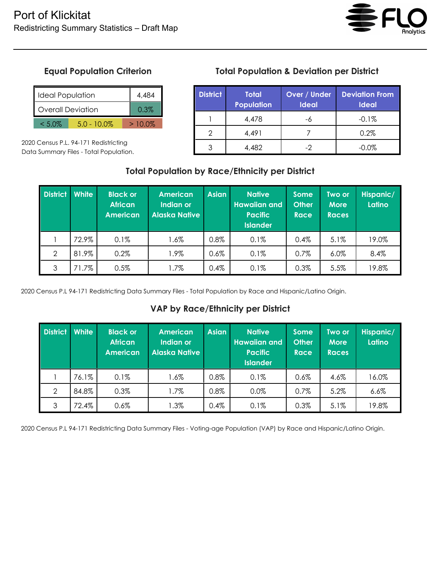

# **Equal Population Criterion**

| <b>Ideal Population</b>     |  |  | 4 484     |
|-----------------------------|--|--|-----------|
| <b>Overall Deviation</b>    |  |  | 0.3%      |
| $5.0 - 10.0\%$<br>$< 5.0\%$ |  |  | $>10.0\%$ |

2020 Census P.L. 94-171 Redistricting Data Summary Files - Total Population.

# **Total Population & Deviation per District**

| <b>District</b> | <b>Total</b><br><b>Population</b> | Over / Under<br><b>Ideal</b> | <b>Deviation From</b><br><b>Ideal</b> |
|-----------------|-----------------------------------|------------------------------|---------------------------------------|
|                 | 4,478                             |                              | $-0.1%$                               |
|                 | 4,491                             |                              | 0.2%                                  |
|                 | 4,482                             |                              | $-0.0\%$                              |

### **Total Population by Race/Ethnicity per District**

| <b>District</b> | <b>White</b> | <b>Black or</b><br><b>African</b><br><b>American</b> | <b>American</b><br>Indian or<br><b>Alaska Native</b> | <b>Asian</b> | <b>Native</b><br><b>Hawaiian and</b><br><b>Pacific</b><br><b>Islander</b> | <b>Some</b><br><b>Other</b><br><b>Race</b> | Two or<br><b>More</b><br><b>Races</b> | Hispanic/<br>Latino |
|-----------------|--------------|------------------------------------------------------|------------------------------------------------------|--------------|---------------------------------------------------------------------------|--------------------------------------------|---------------------------------------|---------------------|
|                 | 72.9%        | 0.1%                                                 | 1.6%                                                 | 0.8%         | 0.1%                                                                      | 0.4%                                       | 5.1%                                  | 19.0%               |
| $\overline{2}$  | 81.9%        | 0.2%                                                 | 1.9%                                                 | $0.6\%$      | 0.1%                                                                      | $0.7\%$                                    | 6.0%                                  | 8.4%                |
| 3               | 71.7%        | 0.5%                                                 | 1.7%                                                 | 0.4%         | 0.1%                                                                      | 0.3%                                       | 5.5%                                  | 19.8%               |

2020 Census P.L 94-171 Redistricting Data Summary Files - Total Population by Race and Hispanic/Latino Origin.

### **VAP by Race/Ethnicity per District**

| <b>District</b> | White | <b>Black or</b><br><b>African</b><br><b>American</b> | <b>American</b><br>Indian or<br><b>Alaska Native</b> | <b>Asian</b> | <b>Native</b><br><b>Hawaiian and</b><br><b>Pacific</b><br><b>Islander</b> | <b>Some</b><br><b>Other</b><br><b>Race</b> | Two or<br><b>More</b><br><b>Races</b> | Hispanic/<br>Latino |
|-----------------|-------|------------------------------------------------------|------------------------------------------------------|--------------|---------------------------------------------------------------------------|--------------------------------------------|---------------------------------------|---------------------|
|                 | 76.1% | 0.1%                                                 | $1.6\%$                                              | 0.8%         | 0.1%                                                                      | 0.6%                                       | 4.6%                                  | 16.0%               |
| 2               | 84.8% | 0.3%                                                 | 1.7%                                                 | 0.8%         | $0.0\%$                                                                   | 0.7%                                       | 5.2%                                  | 6.6%                |
| 3               | 72.4% | 0.6%                                                 | $1.3\%$                                              | 0.4%         | 0.1%                                                                      | 0.3%                                       | 5.1%                                  | 19.8%               |

2020 Census P.L 94-171 Redistricting Data Summary Files - Voting-age Population (VAP) by Race and Hispanic/Latino Origin.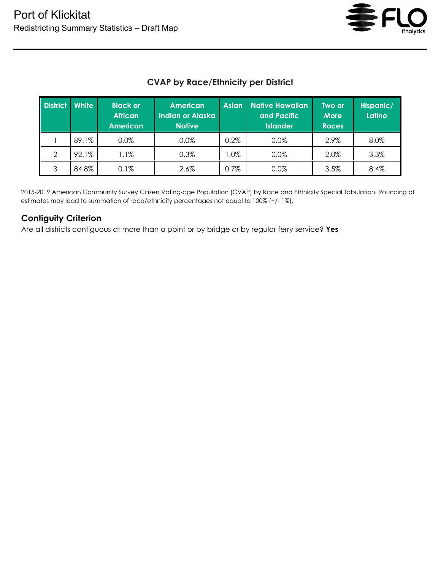

# **CVAP by Race/Ethnicity per District**

| <b>District</b> | <b>White</b> | <b>Black or</b><br><b>African</b><br><b>American</b> | <b>American</b><br><b>Indian or Alaska</b><br><b>Native</b> | <b>Asian</b> | <b>Native Hawaiian</b><br>and Pacific<br><b>Islander</b> | Two or<br><b>More</b><br><b>Races</b> | Hispanic/<br>Latino |
|-----------------|--------------|------------------------------------------------------|-------------------------------------------------------------|--------------|----------------------------------------------------------|---------------------------------------|---------------------|
|                 | 89.1%        | 0.0%                                                 | 0.0%                                                        | 0.2%         | $0.0\%$                                                  | 2.9%                                  | 8.0%                |
| $\mathcal{P}$   | 92.1%        | $1.1\%$                                              | 0.3%                                                        | $.0\%$       | $0.0\%$                                                  | 2.0%                                  | 3.3%                |
| 3               | 84.8%        | 0.1%                                                 | 2.6%                                                        | 0.7%         | 0.0%                                                     | 3.5%                                  | 8.4%                |

2015-2019 American Community Survey Citizen Voting-age Population (CVAP) by Race and Ethnicity Special Tabulation. Rounding of estimates may lead to summation of race/ethnicity percentages not equal to 100% (+/- 1%).

#### **Contiguity Criterion**

Are all districts contiguous at more than a point or by bridge or by regular ferry service? **Yes**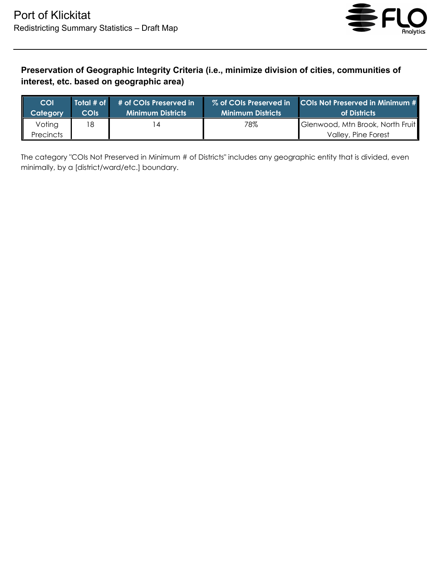

# **Preservation of Geographic Integrity Criteria (i.e., minimize division of cities, communities of interest, etc. based on geographic area)**

| <b>COI</b>                 | Total # of  | # of COIs Preserved in | % of COIs Preserved in   | COIs Not Preserved in Minimum #                         |
|----------------------------|-------------|------------------------|--------------------------|---------------------------------------------------------|
| Category                   | <b>COIS</b> | Minimum Districts      | <b>Minimum Districts</b> | of Districts                                            |
| Voting<br><b>Precincts</b> | 18          | 4                      | 78%                      | Glenwood, Mtn Brook, North Fruit<br>Valley, Pine Forest |

The category "COIs Not Preserved in Minimum # of Districts" includes any geographic entity that is divided, even minimally, by a [district/ward/etc.] boundary.